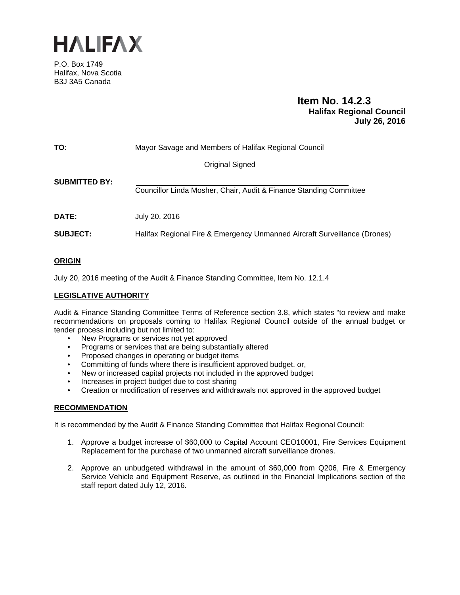

P.O. Box 1749 Halifax, Nova Scotia B3J 3A5 Canada

## **Item No. 14.2.3 Halifax Regional Council July 26, 2016**

| TO:                  | Mayor Savage and Members of Halifax Regional Council                      |
|----------------------|---------------------------------------------------------------------------|
|                      | Original Signed                                                           |
| <b>SUBMITTED BY:</b> | Councillor Linda Mosher, Chair, Audit & Finance Standing Committee        |
| <b>DATE:</b>         | July 20, 2016                                                             |
| <b>SUBJECT:</b>      | Halifax Regional Fire & Emergency Unmanned Aircraft Surveillance (Drones) |

## **ORIGIN**

July 20, 2016 meeting of the Audit & Finance Standing Committee, Item No. 12.1.4

## **LEGISLATIVE AUTHORITY**

Audit & Finance Standing Committee Terms of Reference section 3.8, which states "to review and make recommendations on proposals coming to Halifax Regional Council outside of the annual budget or tender process including but not limited to:

- New Programs or services not yet approved
- Programs or services that are being substantially altered
- Proposed changes in operating or budget items
- Committing of funds where there is insufficient approved budget, or,
- New or increased capital projects not included in the approved budget
- Increases in project budget due to cost sharing
- Creation or modification of reserves and withdrawals not approved in the approved budget

## **RECOMMENDATION**

It is recommended by the Audit & Finance Standing Committee that Halifax Regional Council:

- 1. Approve a budget increase of \$60,000 to Capital Account CEO10001, Fire Services Equipment Replacement for the purchase of two unmanned aircraft surveillance drones.
- 2. Approve an unbudgeted withdrawal in the amount of \$60,000 from Q206, Fire & Emergency Service Vehicle and Equipment Reserve, as outlined in the Financial Implications section of the staff report dated July 12, 2016.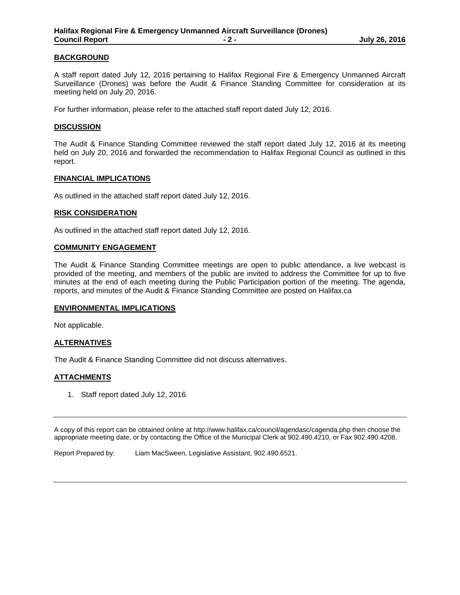### **BACKGROUND**

A staff report dated July 12, 2016 pertaining to Halifax Regional Fire & Emergency Unmanned Aircraft Surveillance (Drones) was before the Audit & Finance Standing Committee for consideration at its meeting held on July 20, 2016.

For further information, please refer to the attached staff report dated July 12, 2016.

#### **DISCUSSION**

The Audit & Finance Standing Committee reviewed the staff report dated July 12, 2016 at its meeting held on July 20, 2016 and forwarded the recommendation to Halifax Regional Council as outlined in this report.

#### **FINANCIAL IMPLICATIONS**

As outlined in the attached staff report dated July 12, 2016.

#### **RISK CONSIDERATION**

As outlined in the attached staff report dated July 12, 2016.

#### **COMMUNITY ENGAGEMENT**

The Audit & Finance Standing Committee meetings are open to public attendance, a live webcast is provided of the meeting, and members of the public are invited to address the Committee for up to five minutes at the end of each meeting during the Public Participation portion of the meeting. The agenda, reports, and minutes of the Audit & Finance Standing Committee are posted on Halifax.ca

#### **ENVIRONMENTAL IMPLICATIONS**

Not applicable.

### **ALTERNATIVES**

The Audit & Finance Standing Committee did not discuss alternatives.

### **ATTACHMENTS**

1. Staff report dated July 12, 2016.

A copy of this report can be obtained online at http://www.halifax.ca/council/agendasc/cagenda.php then choose the appropriate meeting date, or by contacting the Office of the Municipal Clerk at 902.490.4210, or Fax 902.490.4208.

Report Prepared by: Liam MacSween, Legislative Assistant, 902.490.6521.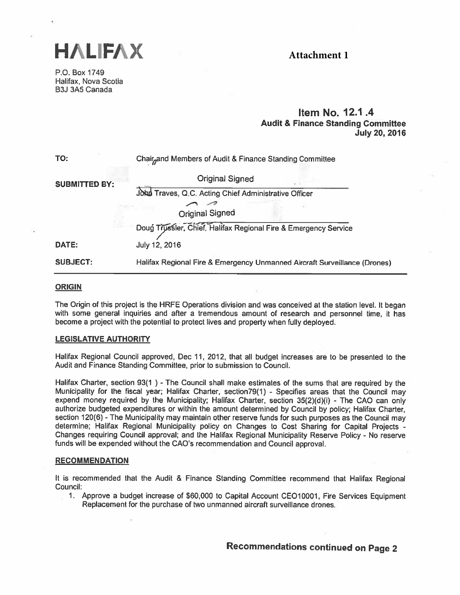

# Attachment 1

P.O. Box 1749 Halifax, Nova Scotia B3J 3A5 Canada

## **Item No. 12.1.4 Audit & Finance Standing Committee July 20, 2016**

| TO:                  | Chair <sub>n</sub> and Members of Audit & Finance Standing Committee      |
|----------------------|---------------------------------------------------------------------------|
| <b>SUBMITTED BY:</b> | <b>Original Signed</b>                                                    |
|                      | John Traves, Q.C. Acting Chief Administrative Officer                     |
|                      |                                                                           |
|                      | Original Signed                                                           |
|                      | Doug Trussler, Chief, Halifax Regional Fire & Emergency Service           |
| DATE:                | July 12, 2016                                                             |
| <b>SUBJECT:</b>      | Halifax Regional Fire & Emergency Unmanned Aircraft Surveillance (Drones) |

#### **ORIGIN**

The Origin of this project is the HRFE Operations division and was conceived at the station level. It began with some general inquiries and after a tremendous amount of research and personnel time, it has become a project with the potential to protect lives and property when fully deployed.

#### **LEGISLATIVE AUTHORITY**

Halifax Regional Council approved, Dec 11, 2012, that all budget increases are to be presented to the Audit and Finance Standing Committee, prior to submission to Council.

Halifax Charter, section 93(1) - The Council shall make estimates of the sums that are required by the Municipality for the fiscal year; Halifax Charter, section79(1) - Specifies areas that the Council may expend money required by the Municipality; Halifax Charter, section 35(2)(d)(i) - The CAO can only authorize budgeted expenditures or within the amount determined by Council by policy; Halifax Charter, section 120(6) - The Municipality may maintain other reserve funds for such purposes as the Council may determine; Halifax Regional Municipality policy on Changes to Cost Sharing for Capital Projects -Changes requiring Council approval; and the Halifax Regional Municipality Reserve Policy - No reserve funds will be expended without the CAO's recommendation and Council approval.

#### **RECOMMENDATION**

It is recommended that the Audit & Finance Standing Committee recommend that Halifax Regional Council:

1. Approve a budget increase of \$60,000 to Capital Account CEO10001, Fire Services Equipment Replacement for the purchase of two unmanned aircraft surveillance drones.

Recommendations continued on Page 2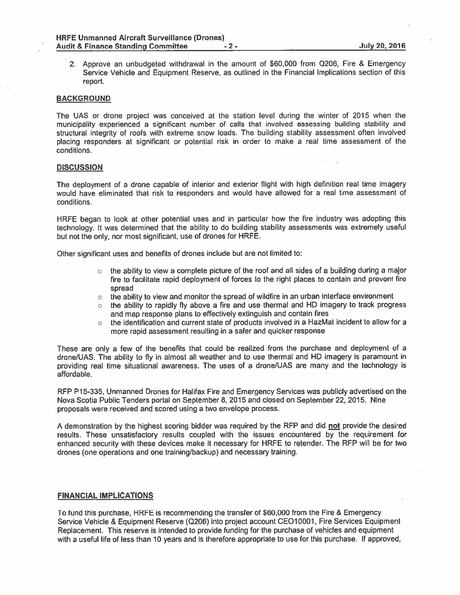2. Approve an unbudgeted withdrawal in the amount of \$60,000 from Q206, Fire & Emergency Service Vehicle and Equipment Reserve, as outlined in the Financial Implications section of this report.

#### **BACKGROUND**

The UAS or drone project was conceived at the station level during the winter of <sup>2015</sup> when the municipality experienced <sup>a</sup> significant number of calls that involved assessing building stability and structural integrity of roofs with extreme snow loads. The building stability assessment often involved <sup>p</sup>lacing responders at significant or potential risk in order to make <sup>a</sup> real time assessment of the conditions.

#### **DISCUSSION**

The deployment of <sup>a</sup> drone capable of interior and exterior flight with high definition real time imagery would have eliminated that risk to responders and would have allowed for <sup>a</sup> real time assessment of conditions.

HRFE began to look at other potential uses and in particular how the fire industry was adopting this technology. It was determined that the ability to do building stability assessments was extremely useful but not the only, nor most significant, use of drones for HRFE.

Other significant uses and benefits of drones include but are not limited to:

- $\circ$  the ability to view a complete picture of the roof and all sides of a building during a major fire to facilitate rapid deployment of forces to the right places to contain and preven<sup>t</sup> fire spread
- othe ability to view and monitor the spread of wildfire in an urban interface environment
- o the ability to rapidly fly above <sup>a</sup> fire and use thermal and HD imagery to track progress and map response plans to effectively extinguish and contain fires
- o the identification and current state of products involved in <sup>a</sup> HazMat incident to allow for <sup>a</sup> more rapid assessment resulting in <sup>a</sup> safer and quicker response

These are only <sup>a</sup> few of the benefits that could be realized from the purchase and deployment of <sup>a</sup> drone/UAS, The ability to fly in almost all weather and to use thermal and HD imagery is paramoun<sup>t</sup> in providing real time situational awareness. The uses of <sup>a</sup> drone/UAS are many and the technology is affordable.

RFP P15-335, Unmanned Drones for Halifax Fire and Emergency Services was publicly advertised on the Nova Scotia Public Tenders portal on September 8, 2015 and closed on September 22, 2015. Nine proposals were received and scored using <sup>a</sup> two envelope process.

A demonstration by the highest scoring bidder was required by the RFP and did not provide the desired results. These unsatisfactory results coupled with the issues encountered by the requirement for enhanced security with these devices make it necessary for HRFE to retender. The RFP will be for two drones (one operations and one training/backup) and necessary training

#### FINANCIAL IMPLICATIONS

To fund this purchase, HRFE is recommending the transfer of \$60,000 from the Fire & Emergency Service Vehicle & Equipment Reserve (Q206) into project account CEO1 0001, Fire Services Equipment Replacement. This reserve is intended to provide funding for the purchase of vehicles and equipment with <sup>a</sup> useful life of less than 10 years and is therefore appropriate to use for this purchase. If approved,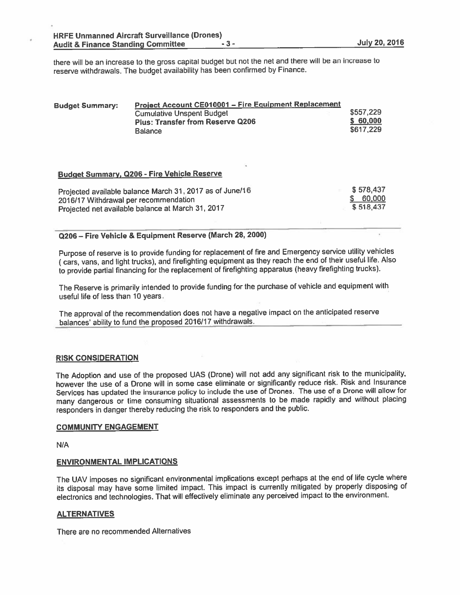there will be an increase to the gross capital budget but not the net and there will be an increase to reserve withdrawals. The budget availability has been confirmed by Finance.

| <b>Budget Summary:</b> | Project Account CE010001 - Fire Equipment Replacement |           |
|------------------------|-------------------------------------------------------|-----------|
|                        | <b>Cumulative Unspent Budget</b>                      | \$557,229 |
|                        | <b>Plus: Transfer from Reserve Q206</b>               | \$60,000  |
|                        | <b>Balance</b>                                        | \$617,229 |

## Budget Summary, Q206 - Fire Vehicle Reserve

| Projected available balance March 31, 2017 as of June/16 | \$578.437 |
|----------------------------------------------------------|-----------|
| 2016/17 Withdrawal per recommendation                    | \$ 60,000 |
| Projected net available balance at March 31, 2017        | \$518.437 |

## Q206 — Fire Vehicle & Equipment Reserve (March 28, 2000)

Purpose of reserve is to provide funding for replacement of fire and Emergency service utility vehicles (cars, vans, and light trucks), and firefighting equipment as they reach the end of their useful life. Also to provide partial financing for the replacement of firefighting apparatus (heavy firefighting trucks).

The Reserve is primarily intended to provide funding for the purchase of vehicle and equipment with useful life of less than 10 years.

The approva<sup>l</sup> of the recommendation does not have <sup>a</sup> negative impact on the anticipated reserve balances' ability to fund the propose<sup>d</sup> 2016/17 withdrawals.

#### RISK CONS<u>IDERATION</u>

The Adoption and use of the propose<sup>d</sup> UAS (Drone) will not add any significant risk to the municipality. however the use of <sup>a</sup> Drone will in some case eliminate or significantly reduce risk, Risk and Insurance Services has updated the insurance policy to include the use of Drones. The use of <sup>a</sup> Drone will allow for many dangerous or time consuming situational assessments to be made rapidly and without <sup>p</sup>lacing responders in danger thereby reducing the risk to responders and the public.

#### COMMUNITY ENGAGEMENT

N/A

#### ENVIRONMENTAL IMPLICATIONS

The UAV imposes no significant environmental implications excep<sup>t</sup> perhaps at the end of life cycle where its disposal may have some limited impact. This impact is currently mitigated by properly disposing of electronics and technologies. That will effectively eliminate any perceived impact to the environment,

#### ALTERNATIVES

There are no recommended Alternatives